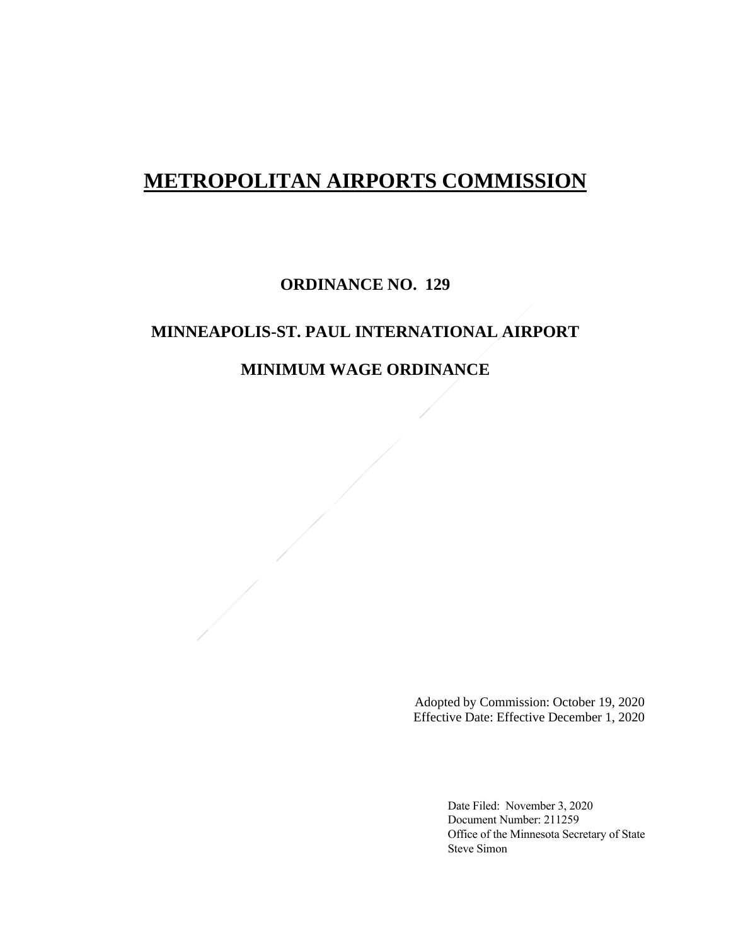# **METROPOLITAN AIRPORTS COMMISSION**

# **ORDINANCE NO. 129**

# **MINNEAPOLIS-ST. PAUL INTERNATIONAL AIRPORT**

# **MINIMUM WAGE ORDINANCE**

Adopted by Commission: October 19, 2020 Effective Date: Effective December 1, 2020

> Date Filed: November 3, 2020 Document Number: 211259 Office of the Minnesota Secretary of State Steve Simon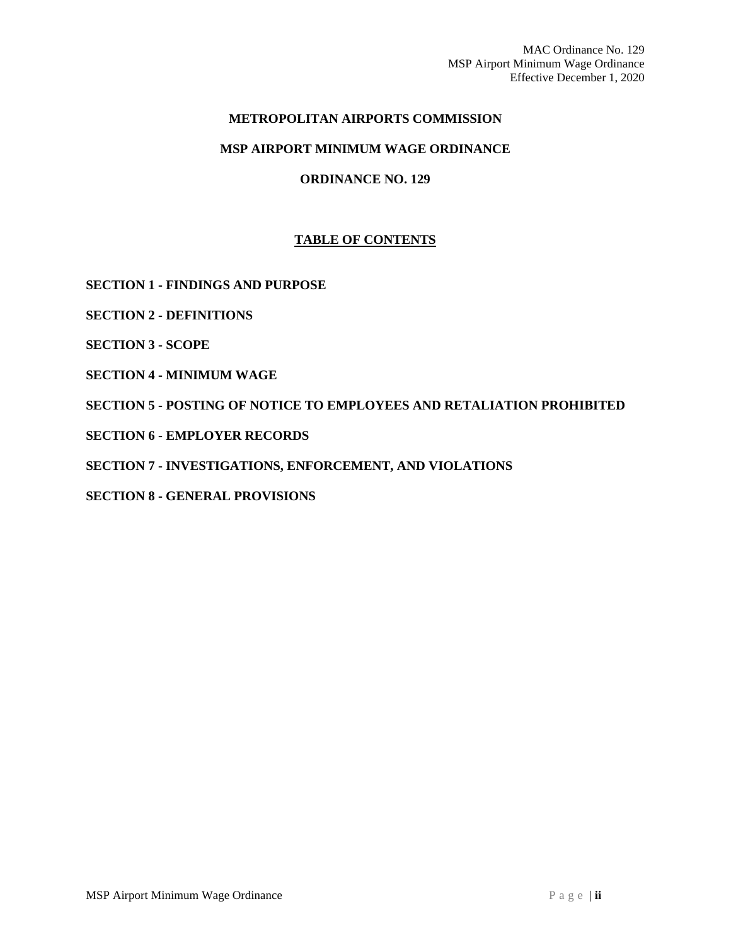# **METROPOLITAN AIRPORTS COMMISSION**

#### **MSP AIRPORT MINIMUM WAGE ORDINANCE**

### **ORDINANCE NO. 129**

# **TABLE OF CONTENTS**

**SECTION 1 - FINDINGS AND PURPOSE** 

**SECTION 2 - DEFINITIONS** 

**SECTION 3 - SCOPE** 

**SECTION 4 - MINIMUM WAGE** 

**SECTION 5 - POSTING OF NOTICE TO EMPLOYEES AND RETALIATION PROHIBITED** 

**SECTION 6 - EMPLOYER RECORDS** 

**SECTION 7 - INVESTIGATIONS, ENFORCEMENT, AND VIOLATIONS** 

**SECTION 8 - GENERAL PROVISIONS**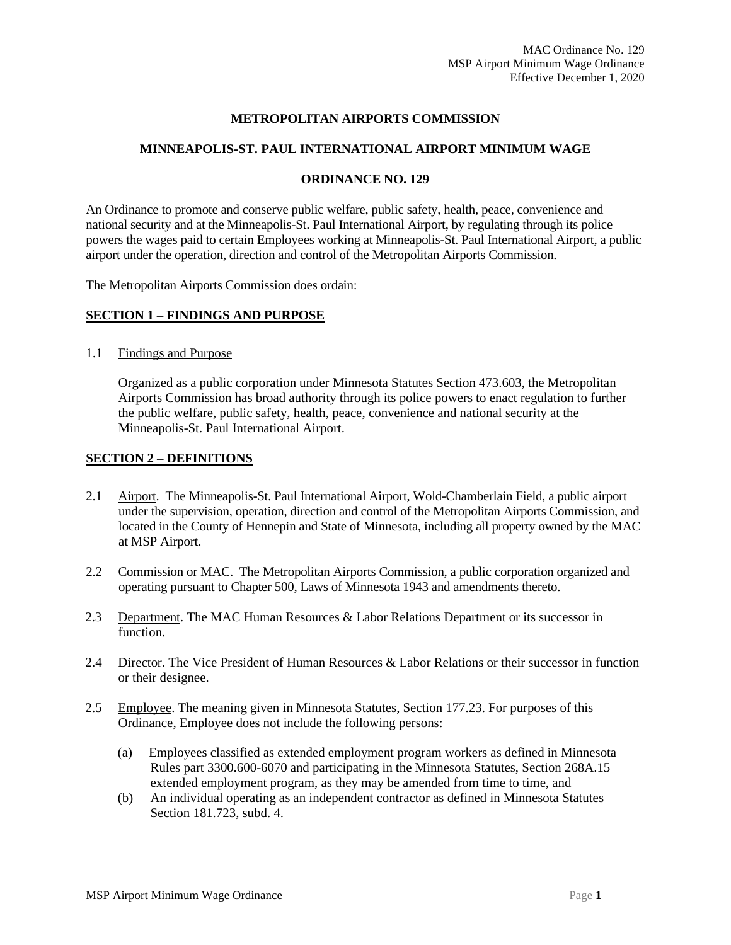#### **METROPOLITAN AIRPORTS COMMISSION**

#### **MINNEAPOLIS-ST. PAUL INTERNATIONAL AIRPORT MINIMUM WAGE**

#### **ORDINANCE NO. 129**

An Ordinance to promote and conserve public welfare, public safety, health, peace, convenience and national security and at the Minneapolis-St. Paul International Airport, by regulating through its police powers the wages paid to certain Employees working at Minneapolis-St. Paul International Airport, a public airport under the operation, direction and control of the Metropolitan Airports Commission.

The Metropolitan Airports Commission does ordain:

#### **SECTION 1 – FINDINGS AND PURPOSE**

1.1 Findings and Purpose

Organized as a public corporation under Minnesota Statutes Section 473.603, the Metropolitan Airports Commission has broad authority through its police powers to enact regulation to further the public welfare, public safety, health, peace, convenience and national security at the Minneapolis-St. Paul International Airport.

#### **SECTION 2 – DEFINITIONS**

- 2.1 Airport. The Minneapolis-St. Paul International Airport, Wold-Chamberlain Field, a public airport under the supervision, operation, direction and control of the Metropolitan Airports Commission, and located in the County of Hennepin and State of Minnesota, including all property owned by the MAC at MSP Airport.
- 2.2 Commission or MAC. The Metropolitan Airports Commission, a public corporation organized and operating pursuant to Chapter 500, Laws of Minnesota 1943 and amendments thereto.
- 2.3 Department. The MAC Human Resources & Labor Relations Department or its successor in function.
- 2.4 Director. The Vice President of Human Resources & Labor Relations or their successor in function or their designee.
- 2.5 Employee. The meaning given in Minnesota Statutes, Section 177.23. For purposes of this Ordinance, Employee does not include the following persons:
	- (a) Employees classified as extended employment program workers as defined in Minnesota Rules part 3300.600-6070 and participating in the Minnesota Statutes, Section 268A.15 extended employment program, as they may be amended from time to time, and
	- (b) An individual operating as an independent contractor as defined in Minnesota Statutes Section 181.723, subd. 4.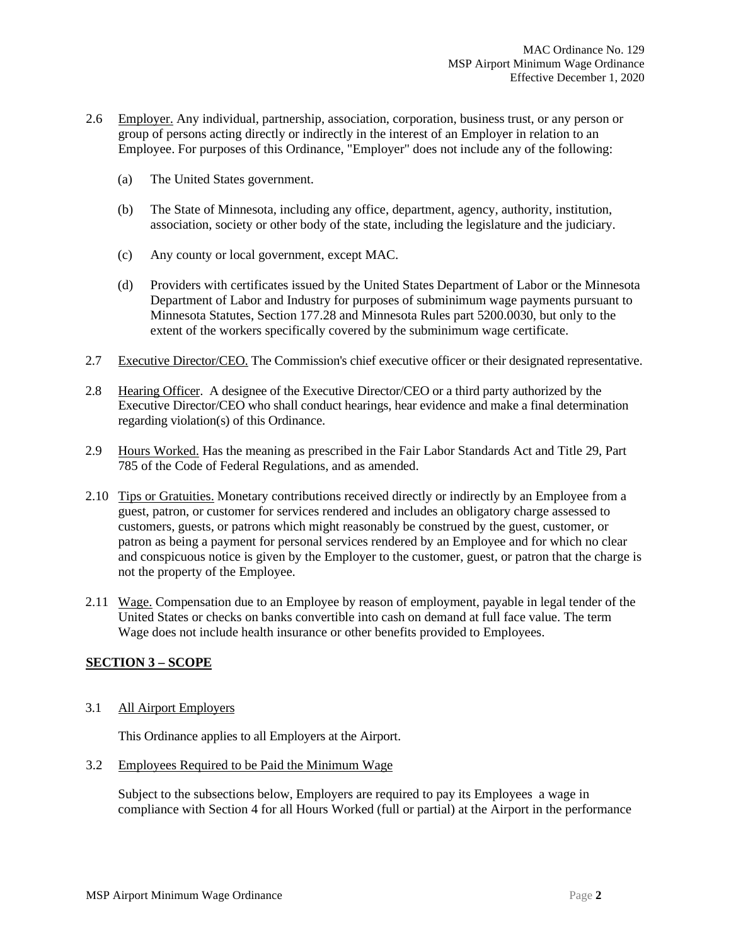- 2.6 Employer. Any individual, partnership, association, corporation, business trust, or any person or group of persons acting directly or indirectly in the interest of an Employer in relation to an Employee. For purposes of this Ordinance, "Employer" does not include any of the following:
	- (a) The United States government.
	- (b) The State of Minnesota, including any office, department, agency, authority, institution, association, society or other body of the state, including the legislature and the judiciary.
	- (c) Any county or local government, except MAC.
	- (d) Providers with certificates issued by the United States Department of Labor or the Minnesota Department of Labor and Industry for purposes of subminimum wage payments pursuant to Minnesota Statutes, Section 177.28 and Minnesota Rules part 5200.0030, but only to the extent of the workers specifically covered by the subminimum wage certificate.
- 2.7 Executive Director/CEO. The Commission's chief executive officer or their designated representative.
- 2.8 Hearing Officer. A designee of the Executive Director/CEO or a third party authorized by the Executive Director/CEO who shall conduct hearings, hear evidence and make a final determination regarding violation(s) of this Ordinance.
- 2.9 Hours Worked. Has the meaning as prescribed in the Fair Labor Standards Act and Title 29, Part 785 of the Code of Federal Regulations, and as amended.
- 2.10 Tips or Gratuities. Monetary contributions received directly or indirectly by an Employee from a guest, patron, or customer for services rendered and includes an obligatory charge assessed to customers, guests, or patrons which might reasonably be construed by the guest, customer, or patron as being a payment for personal services rendered by an Employee and for which no clear and conspicuous notice is given by the Employer to the customer, guest, or patron that the charge is not the property of the Employee.
- 2.11 Wage. Compensation due to an Employee by reason of employment, payable in legal tender of the United States or checks on banks convertible into cash on demand at full face value. The term Wage does not include health insurance or other benefits provided to Employees.

# **SECTION 3 – SCOPE**

3.1 All Airport Employers

This Ordinance applies to all Employers at the Airport.

3.2 Employees Required to be Paid the Minimum Wage

Subject to the subsections below, Employers are required to pay its Employees a wage in compliance with Section 4 for all Hours Worked (full or partial) at the Airport in the performance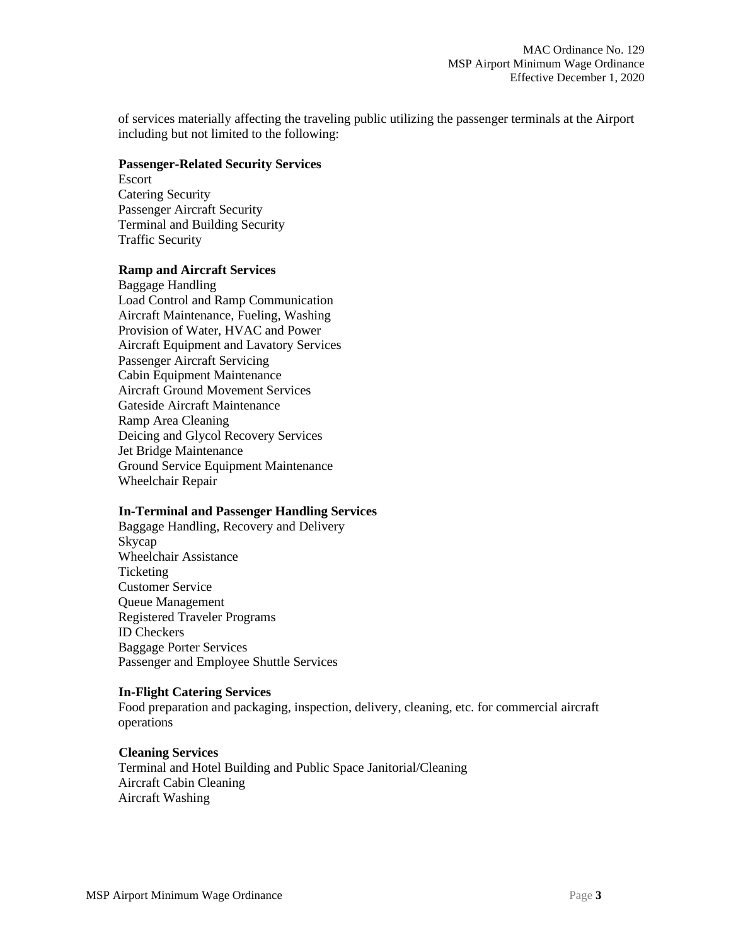of services materially affecting the traveling public utilizing the passenger terminals at the Airport including but not limited to the following:

#### **Passenger-Related Security Services**

Escort Catering Security Passenger Aircraft Security Terminal and Building Security Traffic Security

#### **Ramp and Aircraft Services**

Baggage Handling Load Control and Ramp Communication Aircraft Maintenance, Fueling, Washing Provision of Water, HVAC and Power Aircraft Equipment and Lavatory Services Passenger Aircraft Servicing Cabin Equipment Maintenance Aircraft Ground Movement Services Gateside Aircraft Maintenance Ramp Area Cleaning Deicing and Glycol Recovery Services Jet Bridge Maintenance Ground Service Equipment Maintenance Wheelchair Repair

#### **In-Terminal and Passenger Handling Services**

Baggage Handling, Recovery and Delivery Skycap Wheelchair Assistance Ticketing Customer Service Queue Management Registered Traveler Programs ID Checkers Baggage Porter Services Passenger and Employee Shuttle Services

#### **In-Flight Catering Services**

Food preparation and packaging, inspection, delivery, cleaning, etc. for commercial aircraft operations

#### **Cleaning Services**

Terminal and Hotel Building and Public Space Janitorial/Cleaning Aircraft Cabin Cleaning Aircraft Washing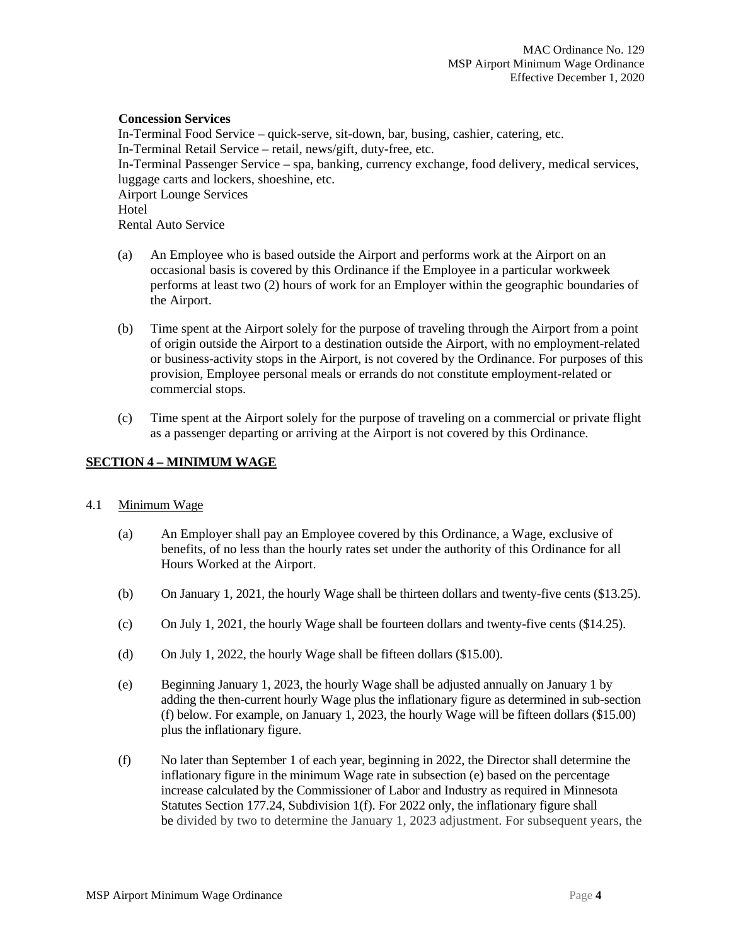#### **Concession Services**

In-Terminal Food Service – quick-serve, sit-down, bar, busing, cashier, catering, etc. In-Terminal Retail Service – retail, news/gift, duty-free, etc. In-Terminal Passenger Service – spa, banking, currency exchange, food delivery, medical services, luggage carts and lockers, shoeshine, etc. Airport Lounge Services **Hotel** Rental Auto Service

- (a) An Employee who is based outside the Airport and performs work at the Airport on an occasional basis is covered by this Ordinance if the Employee in a particular workweek performs at least two (2) hours of work for an Employer within the geographic boundaries of the Airport.
- (b) Time spent at the Airport solely for the purpose of traveling through the Airport from a point of origin outside the Airport to a destination outside the Airport, with no employment-related or business-activity stops in the Airport, is not covered by the Ordinance. For purposes of this provision, Employee personal meals or errands do not constitute employment-related or commercial stops.
- (c) Time spent at the Airport solely for the purpose of traveling on a commercial or private flight as a passenger departing or arriving at the Airport is not covered by this Ordinance.

### **SECTION 4 – MINIMUM WAGE**

#### 4.1 Minimum Wage

- (a) An Employer shall pay an Employee covered by this Ordinance, a Wage, exclusive of benefits, of no less than the hourly rates set under the authority of this Ordinance for all Hours Worked at the Airport.
- (b) On January 1, 2021, the hourly Wage shall be thirteen dollars and twenty-five cents (\$13.25).
- (c) On July 1, 2021, the hourly Wage shall be fourteen dollars and twenty-five cents (\$14.25).
- (d) On July 1, 2022, the hourly Wage shall be fifteen dollars (\$15.00).
- (e) Beginning January 1, 2023, the hourly Wage shall be adjusted annually on January 1 by adding the then-current hourly Wage plus the inflationary figure as determined in sub-section (f) below. For example, on January 1, 2023, the hourly Wage will be fifteen dollars (\$15.00) plus the inflationary figure.
- (f) No later than September 1 of each year, beginning in 2022, the Director shall determine the inflationary figure in the minimum Wage rate in subsection (e) based on the percentage increase calculated by the Commissioner of Labor and Industry as required in Minnesota Statutes Section 177.24, Subdivision 1(f). For 2022 only, the inflationary figure shall be divided by two to determine the January 1, 2023 adjustment. For subsequent years, the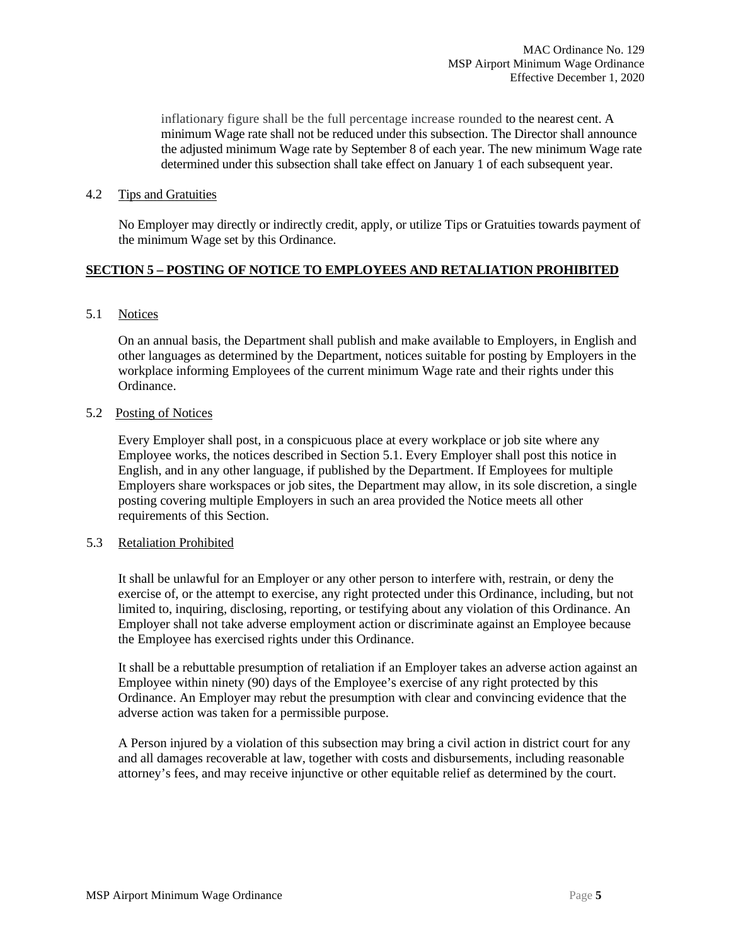inflationary figure shall be the full percentage increase rounded to the nearest cent. A minimum Wage rate shall not be reduced under this subsection. The Director shall announce the adjusted minimum Wage rate by September 8 of each year. The new minimum Wage rate determined under this subsection shall take effect on January 1 of each subsequent year.

4.2 Tips and Gratuities

No Employer may directly or indirectly credit, apply, or utilize Tips or Gratuities towards payment of the minimum Wage set by this Ordinance.

#### **SECTION 5 – POSTING OF NOTICE TO EMPLOYEES AND RETALIATION PROHIBITED**

5.1 Notices

On an annual basis, the Department shall publish and make available to Employers, in English and other languages as determined by the Department, notices suitable for posting by Employers in the workplace informing Employees of the current minimum Wage rate and their rights under this Ordinance.

#### 5.2 Posting of Notices

Every Employer shall post, in a conspicuous place at every workplace or job site where any Employee works, the notices described in Section 5.1. Every Employer shall post this notice in English, and in any other language, if published by the Department. If Employees for multiple Employers share workspaces or job sites, the Department may allow, in its sole discretion, a single posting covering multiple Employers in such an area provided the Notice meets all other requirements of this Section.

#### 5.3 Retaliation Prohibited

It shall be unlawful for an Employer or any other person to interfere with, restrain, or deny the exercise of, or the attempt to exercise, any right protected under this Ordinance, including, but not limited to, inquiring, disclosing, reporting, or testifying about any violation of this Ordinance. An Employer shall not take adverse employment action or discriminate against an Employee because the Employee has exercised rights under this Ordinance.

It shall be a rebuttable presumption of retaliation if an Employer takes an adverse action against an Employee within ninety (90) days of the Employee's exercise of any right protected by this Ordinance. An Employer may rebut the presumption with clear and convincing evidence that the adverse action was taken for a permissible purpose.

A Person injured by a violation of this subsection may bring a civil action in district court for any and all damages recoverable at law, together with costs and disbursements, including reasonable attorney's fees, and may receive injunctive or other equitable relief as determined by the court.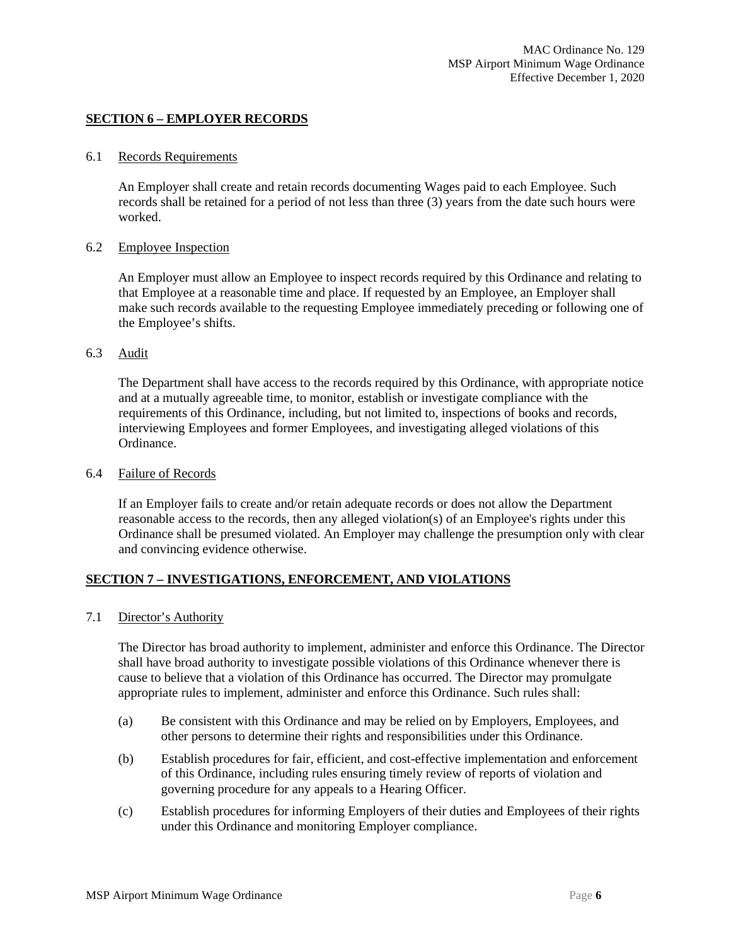#### **SECTION 6 – EMPLOYER RECORDS**

#### 6.1 Records Requirements

An Employer shall create and retain records documenting Wages paid to each Employee. Such records shall be retained for a period of not less than three (3) years from the date such hours were worked.

#### 6.2 Employee Inspection

An Employer must allow an Employee to inspect records required by this Ordinance and relating to that Employee at a reasonable time and place. If requested by an Employee, an Employer shall make such records available to the requesting Employee immediately preceding or following one of the Employee's shifts.

#### 6.3 Audit

The Department shall have access to the records required by this Ordinance, with appropriate notice and at a mutually agreeable time, to monitor, establish or investigate compliance with the requirements of this Ordinance, including, but not limited to, inspections of books and records, interviewing Employees and former Employees, and investigating alleged violations of this Ordinance.

#### 6.4 Failure of Records

If an Employer fails to create and/or retain adequate records or does not allow the Department reasonable access to the records, then any alleged violation(s) of an Employee's rights under this Ordinance shall be presumed violated. An Employer may challenge the presumption only with clear and convincing evidence otherwise.

#### **SECTION 7 – INVESTIGATIONS, ENFORCEMENT, AND VIOLATIONS**

#### 7.1 Director's Authority

The Director has broad authority to implement, administer and enforce this Ordinance. The Director shall have broad authority to investigate possible violations of this Ordinance whenever there is cause to believe that a violation of this Ordinance has occurred. The Director may promulgate appropriate rules to implement, administer and enforce this Ordinance. Such rules shall:

- (a) Be consistent with this Ordinance and may be relied on by Employers, Employees, and other persons to determine their rights and responsibilities under this Ordinance.
- (b) Establish procedures for fair, efficient, and cost-effective implementation and enforcement of this Ordinance, including rules ensuring timely review of reports of violation and governing procedure for any appeals to a Hearing Officer.
- (c) Establish procedures for informing Employers of their duties and Employees of their rights under this Ordinance and monitoring Employer compliance.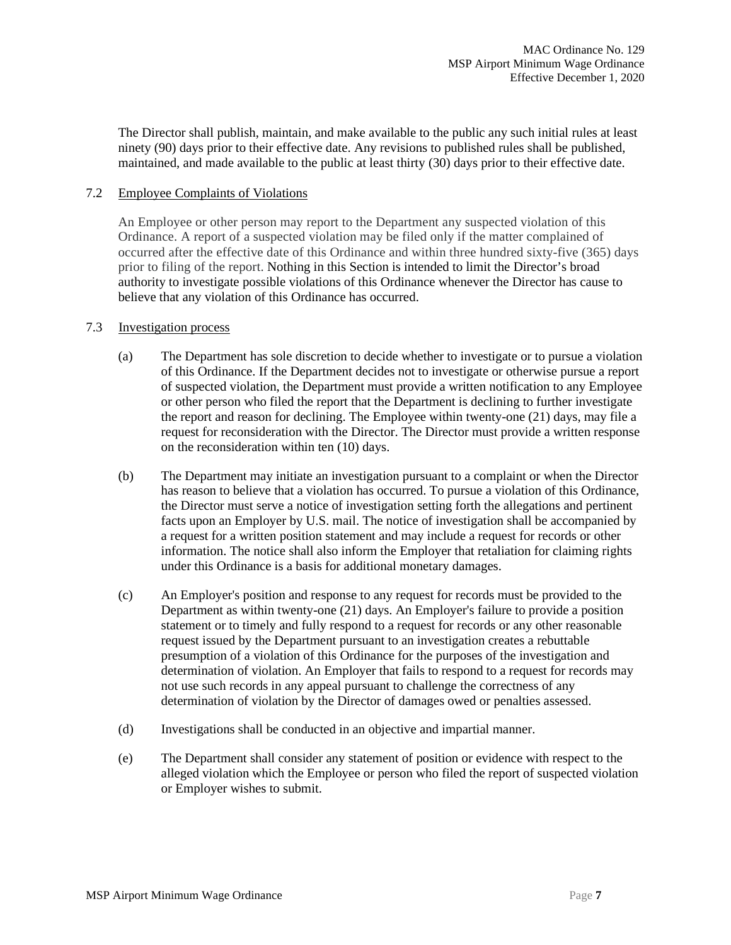The Director shall publish, maintain, and make available to the public any such initial rules at least ninety (90) days prior to their effective date. Any revisions to published rules shall be published, maintained, and made available to the public at least thirty (30) days prior to their effective date.

#### 7.2 Employee Complaints of Violations

An Employee or other person may report to the Department any suspected violation of this Ordinance. A report of a suspected violation may be filed only if the matter complained of occurred after the effective date of this Ordinance and within three hundred sixty-five (365) days prior to filing of the report. Nothing in this Section is intended to limit the Director's broad authority to investigate possible violations of this Ordinance whenever the Director has cause to believe that any violation of this Ordinance has occurred.

## 7.3 Investigation process

- (a) The Department has sole discretion to decide whether to investigate or to pursue a violation of this Ordinance. If the Department decides not to investigate or otherwise pursue a report of suspected violation, the Department must provide a written notification to any Employee or other person who filed the report that the Department is declining to further investigate the report and reason for declining. The Employee within twenty-one (21) days, may file a request for reconsideration with the Director. The Director must provide a written response on the reconsideration within ten (10) days.
- (b) The Department may initiate an investigation pursuant to a complaint or when the Director has reason to believe that a violation has occurred. To pursue a violation of this Ordinance, the Director must serve a notice of investigation setting forth the allegations and pertinent facts upon an Employer by U.S. mail. The notice of investigation shall be accompanied by a request for a written position statement and may include a request for records or other information. The notice shall also inform the Employer that retaliation for claiming rights under this Ordinance is a basis for additional monetary damages.
- (c) An Employer's position and response to any request for records must be provided to the Department as within twenty-one (21) days. An Employer's failure to provide a position statement or to timely and fully respond to a request for records or any other reasonable request issued by the Department pursuant to an investigation creates a rebuttable presumption of a violation of this Ordinance for the purposes of the investigation and determination of violation. An Employer that fails to respond to a request for records may not use such records in any appeal pursuant to challenge the correctness of any determination of violation by the Director of damages owed or penalties assessed.
- (d) Investigations shall be conducted in an objective and impartial manner.
- (e) The Department shall consider any statement of position or evidence with respect to the alleged violation which the Employee or person who filed the report of suspected violation or Employer wishes to submit.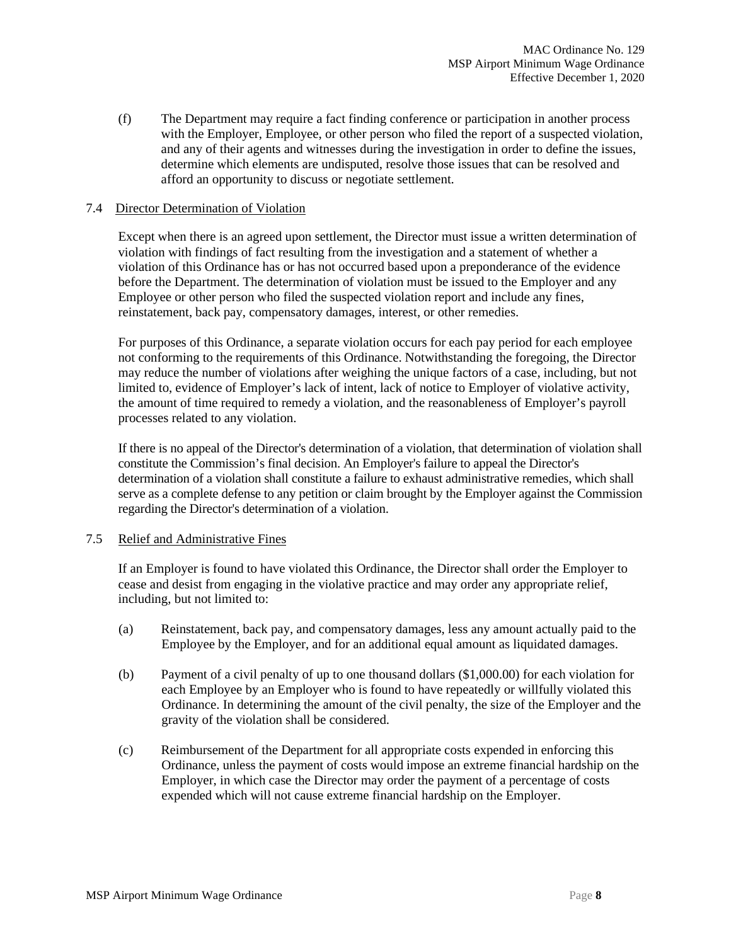(f) The Department may require a fact finding conference or participation in another process with the Employer, Employee, or other person who filed the report of a suspected violation, and any of their agents and witnesses during the investigation in order to define the issues, determine which elements are undisputed, resolve those issues that can be resolved and afford an opportunity to discuss or negotiate settlement.

#### 7.4 Director Determination of Violation

Except when there is an agreed upon settlement, the Director must issue a written determination of violation with findings of fact resulting from the investigation and a statement of whether a violation of this Ordinance has or has not occurred based upon a preponderance of the evidence before the Department. The determination of violation must be issued to the Employer and any Employee or other person who filed the suspected violation report and include any fines, reinstatement, back pay, compensatory damages, interest, or other remedies.

For purposes of this Ordinance, a separate violation occurs for each pay period for each employee not conforming to the requirements of this Ordinance. Notwithstanding the foregoing, the Director may reduce the number of violations after weighing the unique factors of a case, including, but not limited to, evidence of Employer's lack of intent, lack of notice to Employer of violative activity, the amount of time required to remedy a violation, and the reasonableness of Employer's payroll processes related to any violation.

If there is no appeal of the Director's determination of a violation, that determination of violation shall constitute the Commission's final decision. An Employer's failure to appeal the Director's determination of a violation shall constitute a failure to exhaust administrative remedies, which shall serve as a complete defense to any petition or claim brought by the Employer against the Commission regarding the Director's determination of a violation.

#### 7.5 Relief and Administrative Fines

If an Employer is found to have violated this Ordinance, the Director shall order the Employer to cease and desist from engaging in the violative practice and may order any appropriate relief, including, but not limited to:

- (a) Reinstatement, back pay, and compensatory damages, less any amount actually paid to the Employee by the Employer, and for an additional equal amount as liquidated damages.
- (b) Payment of a civil penalty of up to one thousand dollars (\$1,000.00) for each violation for each Employee by an Employer who is found to have repeatedly or willfully violated this Ordinance. In determining the amount of the civil penalty, the size of the Employer and the gravity of the violation shall be considered.
- (c) Reimbursement of the Department for all appropriate costs expended in enforcing this Ordinance, unless the payment of costs would impose an extreme financial hardship on the Employer, in which case the Director may order the payment of a percentage of costs expended which will not cause extreme financial hardship on the Employer.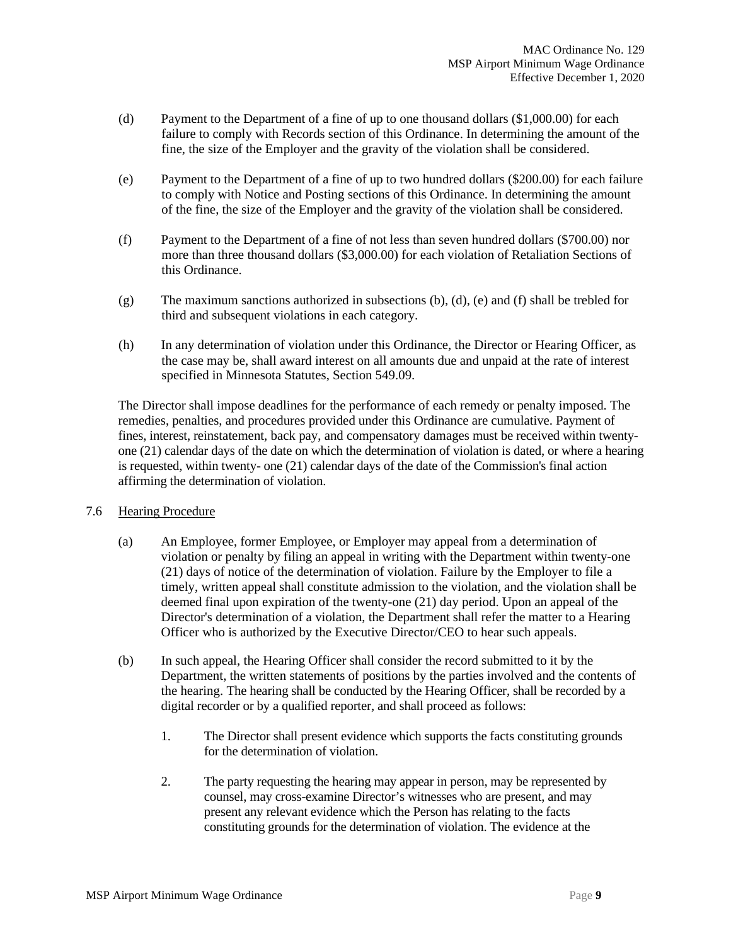- (d) Payment to the Department of a fine of up to one thousand dollars (\$1,000.00) for each failure to comply with Records section of this Ordinance. In determining the amount of the fine, the size of the Employer and the gravity of the violation shall be considered.
- (e) Payment to the Department of a fine of up to two hundred dollars (\$200.00) for each failure to comply with Notice and Posting sections of this Ordinance. In determining the amount of the fine, the size of the Employer and the gravity of the violation shall be considered.
- (f) Payment to the Department of a fine of not less than seven hundred dollars (\$700.00) nor more than three thousand dollars (\$3,000.00) for each violation of Retaliation Sections of this Ordinance.
- $(g)$  The maximum sanctions authorized in subsections  $(b)$ ,  $(d)$ ,  $(e)$  and  $(f)$  shall be trebled for third and subsequent violations in each category.
- (h) In any determination of violation under this Ordinance, the Director or Hearing Officer, as the case may be, shall award interest on all amounts due and unpaid at the rate of interest specified in Minnesota Statutes, Section 549.09.

The Director shall impose deadlines for the performance of each remedy or penalty imposed. The remedies, penalties, and procedures provided under this Ordinance are cumulative. Payment of fines, interest, reinstatement, back pay, and compensatory damages must be received within twentyone (21) calendar days of the date on which the determination of violation is dated, or where a hearing is requested, within twenty- one (21) calendar days of the date of the Commission's final action affirming the determination of violation.

#### 7.6 Hearing Procedure

- (a) An Employee, former Employee, or Employer may appeal from a determination of violation or penalty by filing an appeal in writing with the Department within twenty-one (21) days of notice of the determination of violation. Failure by the Employer to file a timely, written appeal shall constitute admission to the violation, and the violation shall be deemed final upon expiration of the twenty-one (21) day period. Upon an appeal of the Director's determination of a violation, the Department shall refer the matter to a Hearing Officer who is authorized by the Executive Director/CEO to hear such appeals.
- (b) In such appeal, the Hearing Officer shall consider the record submitted to it by the Department, the written statements of positions by the parties involved and the contents of the hearing. The hearing shall be conducted by the Hearing Officer, shall be recorded by a digital recorder or by a qualified reporter, and shall proceed as follows:
	- 1. The Director shall present evidence which supports the facts constituting grounds for the determination of violation.
	- 2. The party requesting the hearing may appear in person, may be represented by counsel, may cross-examine Director's witnesses who are present, and may present any relevant evidence which the Person has relating to the facts constituting grounds for the determination of violation. The evidence at the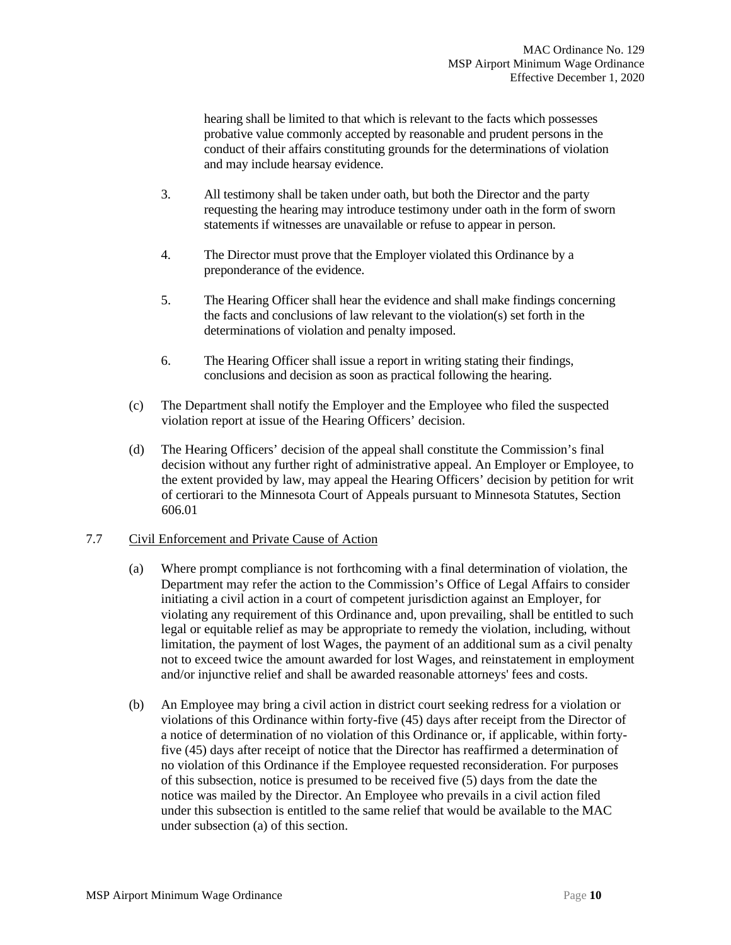hearing shall be limited to that which is relevant to the facts which possesses probative value commonly accepted by reasonable and prudent persons in the conduct of their affairs constituting grounds for the determinations of violation and may include hearsay evidence.

- 3. All testimony shall be taken under oath, but both the Director and the party requesting the hearing may introduce testimony under oath in the form of sworn statements if witnesses are unavailable or refuse to appear in person.
- 4. The Director must prove that the Employer violated this Ordinance by a preponderance of the evidence.
- 5. The Hearing Officer shall hear the evidence and shall make findings concerning the facts and conclusions of law relevant to the violation(s) set forth in the determinations of violation and penalty imposed.
- 6. The Hearing Officer shall issue a report in writing stating their findings, conclusions and decision as soon as practical following the hearing.
- (c) The Department shall notify the Employer and the Employee who filed the suspected violation report at issue of the Hearing Officers' decision.
- (d) The Hearing Officers' decision of the appeal shall constitute the Commission's final decision without any further right of administrative appeal. An Employer or Employee, to the extent provided by law, may appeal the Hearing Officers' decision by petition for writ of certiorari to the Minnesota Court of Appeals pursuant to Minnesota Statutes, Section 606.01

#### 7.7 Civil Enforcement and Private Cause of Action

- (a) Where prompt compliance is not forthcoming with a final determination of violation, the Department may refer the action to the Commission's Office of Legal Affairs to consider initiating a civil action in a court of competent jurisdiction against an Employer, for violating any requirement of this Ordinance and, upon prevailing, shall be entitled to such legal or equitable relief as may be appropriate to remedy the violation, including, without limitation, the payment of lost Wages, the payment of an additional sum as a civil penalty not to exceed twice the amount awarded for lost Wages, and reinstatement in employment and/or injunctive relief and shall be awarded reasonable attorneys' fees and costs.
- (b) An Employee may bring a civil action in district court seeking redress for a violation or violations of this Ordinance within forty-five (45) days after receipt from the Director of a notice of determination of no violation of this Ordinance or, if applicable, within fortyfive (45) days after receipt of notice that the Director has reaffirmed a determination of no violation of this Ordinance if the Employee requested reconsideration. For purposes of this subsection, notice is presumed to be received five (5) days from the date the notice was mailed by the Director. An Employee who prevails in a civil action filed under this subsection is entitled to the same relief that would be available to the MAC under subsection (a) of this section.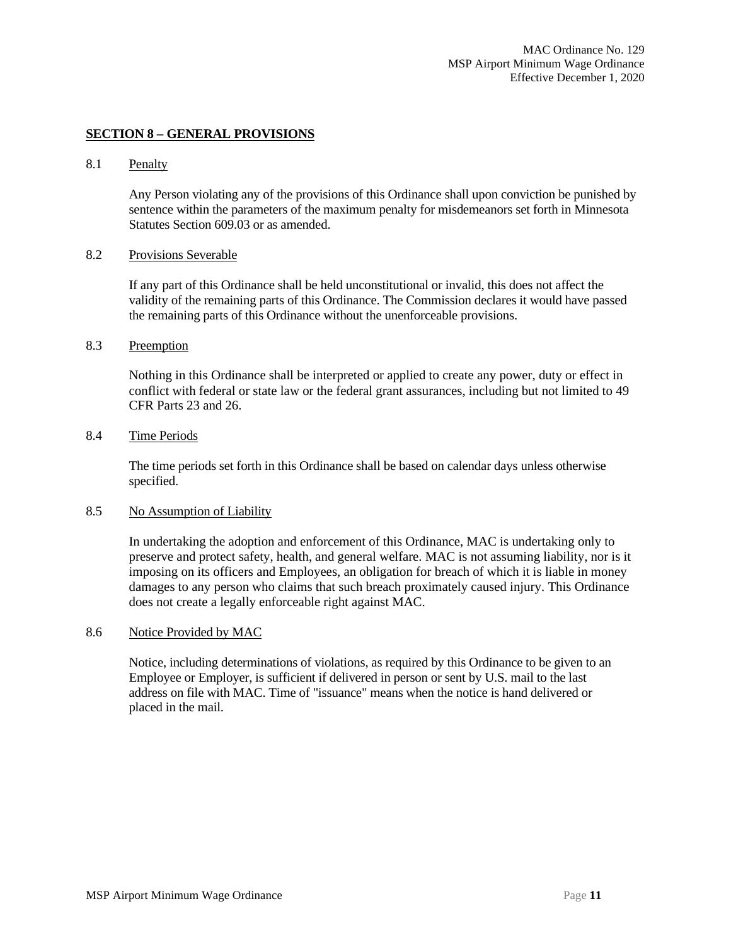#### **SECTION 8 – GENERAL PROVISIONS**

#### 8.1 Penalty

Any Person violating any of the provisions of this Ordinance shall upon conviction be punished by sentence within the parameters of the maximum penalty for misdemeanors set forth in Minnesota Statutes Section 609.03 or as amended.

#### 8.2 Provisions Severable

If any part of this Ordinance shall be held unconstitutional or invalid, this does not affect the validity of the remaining parts of this Ordinance. The Commission declares it would have passed the remaining parts of this Ordinance without the unenforceable provisions.

#### 8.3 Preemption

Nothing in this Ordinance shall be interpreted or applied to create any power, duty or effect in conflict with federal or state law or the federal grant assurances, including but not limited to 49 CFR Parts 23 and 26.

#### 8.4 Time Periods

The time periods set forth in this Ordinance shall be based on calendar days unless otherwise specified.

#### 8.5 No Assumption of Liability

In undertaking the adoption and enforcement of this Ordinance, MAC is undertaking only to preserve and protect safety, health, and general welfare. MAC is not assuming liability, nor is it imposing on its officers and Employees, an obligation for breach of which it is liable in money damages to any person who claims that such breach proximately caused injury. This Ordinance does not create a legally enforceable right against MAC.

#### 8.6 Notice Provided by MAC

Notice, including determinations of violations, as required by this Ordinance to be given to an Employee or Employer, is sufficient if delivered in person or sent by U.S. mail to the last address on file with MAC. Time of "issuance" means when the notice is hand delivered or placed in the mail.